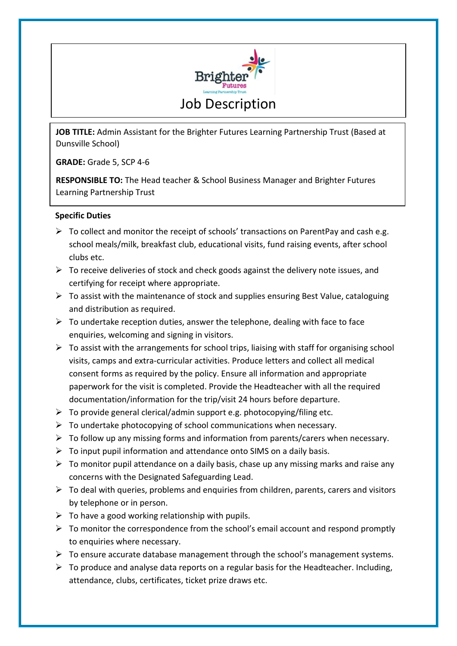

**JOB TITLE:** Admin Assistant for the Brighter Futures Learning Partnership Trust (Based at Dunsville School)

**GRADE:** Grade 5, SCP 4-6

**RESPONSIBLE TO:** The Head teacher & School Business Manager and Brighter Futures Learning Partnership Trust

## **Specific Duties**

- $\triangleright$  To collect and monitor the receipt of schools' transactions on ParentPay and cash e.g. school meals/milk, breakfast club, educational visits, fund raising events, after school clubs etc.
- $\triangleright$  To receive deliveries of stock and check goods against the delivery note issues, and certifying for receipt where appropriate.
- $\triangleright$  To assist with the maintenance of stock and supplies ensuring Best Value, cataloguing and distribution as required.
- $\triangleright$  To undertake reception duties, answer the telephone, dealing with face to face enquiries, welcoming and signing in visitors.
- $\triangleright$  To assist with the arrangements for school trips, liaising with staff for organising school visits, camps and extra-curricular activities. Produce letters and collect all medical consent forms as required by the policy. Ensure all information and appropriate paperwork for the visit is completed. Provide the Headteacher with all the required documentation/information for the trip/visit 24 hours before departure.
- $\triangleright$  To provide general clerical/admin support e.g. photocopying/filing etc.
- $\triangleright$  To undertake photocopying of school communications when necessary.
- $\triangleright$  To follow up any missing forms and information from parents/carers when necessary.
- $\triangleright$  To input pupil information and attendance onto SIMS on a daily basis.
- $\triangleright$  To monitor pupil attendance on a daily basis, chase up any missing marks and raise any concerns with the Designated Safeguarding Lead.
- $\triangleright$  To deal with queries, problems and enquiries from children, parents, carers and visitors by telephone or in person.
- $\triangleright$  To have a good working relationship with pupils.
- $\triangleright$  To monitor the correspondence from the school's email account and respond promptly to enquiries where necessary.
- $\triangleright$  To ensure accurate database management through the school's management systems.
- $\triangleright$  To produce and analyse data reports on a regular basis for the Headteacher. Including, attendance, clubs, certificates, ticket prize draws etc.